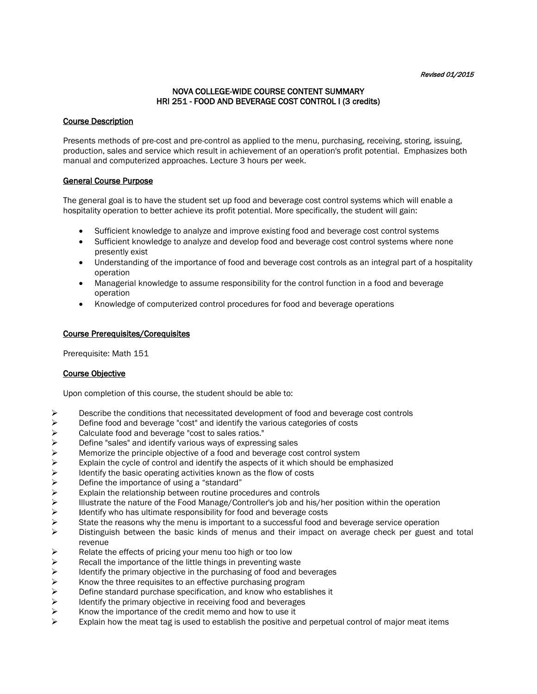# NOVA COLLEGE-WIDE COURSE CONTENT SUMMARY HRI 251 - FOOD AND BEVERAGE COST CONTROL I (3 credits)

### Course Description

Presents methods of pre-cost and pre-control as applied to the menu, purchasing, receiving, storing, issuing, production, sales and service which result in achievement of an operation's profit potential. Emphasizes both manual and computerized approaches. Lecture 3 hours per week.

### General Course Purpose

The general goal is to have the student set up food and beverage cost control systems which will enable a hospitality operation to better achieve its profit potential. More specifically, the student will gain:

- Sufficient knowledge to analyze and improve existing food and beverage cost control systems
- Sufficient knowledge to analyze and develop food and beverage cost control systems where none presently exist
- Understanding of the importance of food and beverage cost controls as an integral part of a hospitality operation
- Managerial knowledge to assume responsibility for the control function in a food and beverage operation
- Knowledge of computerized control procedures for food and beverage operations

### Course Prerequisites/Corequisites

Prerequisite: Math 151

# Course Objective

Upon completion of this course, the student should be able to:

- $\triangleright$  Describe the conditions that necessitated development of food and beverage cost controls
- $\triangleright$  Define food and beverage "cost" and identify the various categories of costs  $\triangleright$  Calculate food and beverage "cost to sales ratios."
- $\triangleright$  Calculate food and beverage "cost to sales ratios."<br>  $\triangleright$  Define "sales" and identify various ways of express
- $\triangleright$  Define "sales" and identify various ways of expressing sales<br>  $\triangleright$  Memorize the principle objective of a food and beverage cos
- Memorize the principle objective of a food and beverage cost control system
- Explain the cycle of control and identify the aspects of it which should be emphasized  $\triangleright$  ldentify the basic operating activities known as the flow of costs
- $\triangleright$  Identify the basic operating activities known as the flow of costs  $\triangleright$  Define the importance of using a "standard"
- $\triangleright$  Define the importance of using a "standard"<br> $\triangleright$  Explain the relationship between routine pro
- 
- Explain the relationship between routine procedures and controls<br>
Illustrate the nature of the Food Manage/Controller's job and his/ Illustrate the nature of the Food Manage/Controller's job and his/her position within the operation<br>
Identify who has ultimate responsibility for food and beverage costs
- Identify who has ultimate responsibility for food and beverage costs<br>  $\triangleright$  State the reasons why the menu is important to a successful food and
- State the reasons why the menu is important to a successful food and beverage service operation<br>  $\triangleright$  Distinguish between the basic kinds of menus and their impact on average check per guest a
- Distinguish between the basic kinds of menus and their impact on average check per guest and total revenue
- $\triangleright$  Relate the effects of pricing your menu too high or too low
- $\triangleright$  Recall the importance of the little things in preventing waste  $\triangleright$  Identify the primary objective in the purchasing of food and b
- Identify the primary objective in the purchasing of food and beverages  $\triangleright$  Know the three requisites to an effective purchasing program
- $\triangleright$  Know the three requisites to an effective purchasing program<br>  $\triangleright$  Define standard purchase specification, and know who estable
- $\triangleright$  Define standard purchase specification, and know who establishes it  $\triangleright$  Identify the primary objective in receiving food and beverages
- Identify the primary objective in receiving food and beverages<br>  $\triangleright$  Know the importance of the credit memo and how to use it
- Know the importance of the credit memo and how to use it
- Explain how the meat tag is used to establish the positive and perpetual control of major meat items